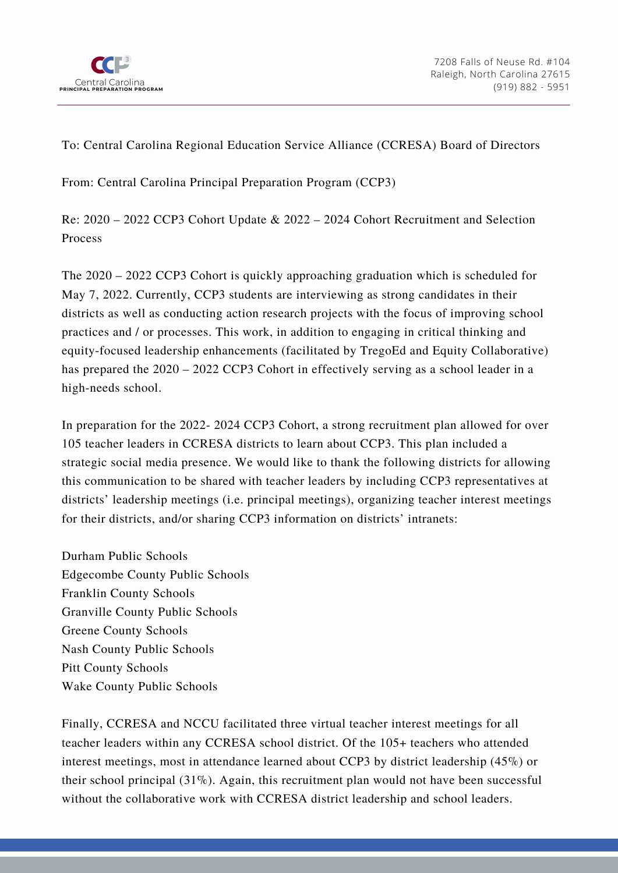

To: Central Carolina Regional Education Service Alliance (CCRESA) Board of Directors

From: Central Carolina Principal Preparation Program (CCP3)

Re: 2020 – 2022 CCP3 Cohort Update & 2022 – 2024 Cohort Recruitment and Selection Process

The 2020 – 2022 CCP3 Cohort is quickly approaching graduation which is scheduled for May 7, 2022. Currently, CCP3 students are interviewing as strong candidates in their districts as well as conducting action research projects with the focus of improving school practices and / or processes. This work, in addition to engaging in critical thinking and equity-focused leadership enhancements (facilitated by TregoEd and Equity Collaborative) has prepared the 2020 – 2022 CCP3 Cohort in effectively serving as a school leader in a high-needs school.

In preparation for the 2022- 2024 CCP3 Cohort, a strong recruitment plan allowed for over 105 teacher leaders in CCRESA districts to learn about CCP3. This plan included a strategic social media presence. We would like to thank the following districts for allowing this communication to be shared with teacher leaders by including CCP3 representatives at districts' leadership meetings (i.e. principal meetings), organizing teacher interest meetings for their districts, and/or sharing CCP3 information on districts' intranets:

Durham Public Schools Edgecombe County Public Schools Franklin County Schools Granville County Public Schools Greene County Schools Nash County Public Schools Pitt County Schools Wake County Public Schools

Finally, CCRESA and NCCU facilitated three virtual teacher interest meetings for all teacher leaders within any CCRESA school district. Of the 105+ teachers who attended interest meetings, most in attendance learned about CCP3 by district leadership (45%) or their school principal (31%). Again, this recruitment plan would not have been successful without the collaborative work with CCRESA district leadership and school leaders.